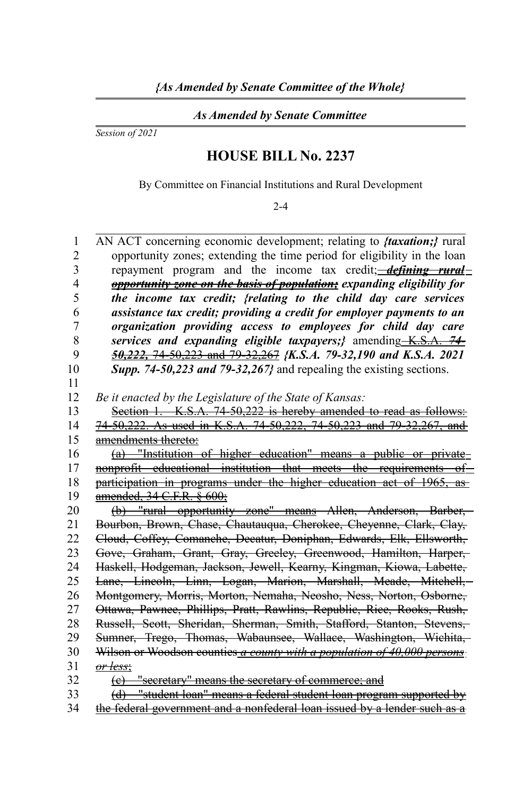*As Amended by Senate Committee*

*Session of 2021*

## **HOUSE BILL No. 2237**

By Committee on Financial Institutions and Rural Development

2-4

| $\mathbf{1}$   | AN ACT concerning economic development; relating to <i>ftaxation</i> ; <i>{</i> rural                                                             |
|----------------|---------------------------------------------------------------------------------------------------------------------------------------------------|
| $\overline{c}$ | opportunity zones; extending the time period for eligibility in the loan                                                                          |
| 3              | repayment program and the income tax credit; <i>defining rural</i>                                                                                |
| $\overline{4}$ | <b>opportunity zone on the basis of population;</b> expanding eligibility for                                                                     |
| 5              | the income tax credit; {relating to the child day care services                                                                                   |
| 6              | assistance tax credit; providing a credit for employer payments to an                                                                             |
| $\overline{7}$ | organization providing access to employees for child day care                                                                                     |
| 8              | services and expanding eligible taxpayers;} amending K.S.A. 74-                                                                                   |
| 9              | 50,222, 74-50,223 and 79-32,267 {K.S.A. 79-32,190 and K.S.A. 2021                                                                                 |
| 10             | Supp. 74-50,223 and 79-32,267} and repealing the existing sections.                                                                               |
| 11             |                                                                                                                                                   |
| 12             | Be it enacted by the Legislature of the State of Kansas:                                                                                          |
| 13             | Section 1. K.S.A. 74-50,222 is hereby amended to read as follows:                                                                                 |
| 14             | 74-50,222. As used in K.S.A. 74-50,222, 74-50,223 and 79-32,267, and                                                                              |
| 15             | amendments thereto:                                                                                                                               |
| 16             | (a) "Institution of higher education" means a public or private                                                                                   |
| 17             | nonprofit educational institution that meets the requirements of                                                                                  |
| 18             | participation in programs under the higher education act of 1965, as                                                                              |
| 19             | amended, 34 C.F.R. § 600;                                                                                                                         |
| 20             | (b) "rural opportunity zone" means Allen, Anderson, Barber,                                                                                       |
| 21             | Bourbon, Brown, Chase, Chautauqua, Cherokee, Cheyenne, Clark, Clay,                                                                               |
| 22             | Cloud, Coffey, Comanche, Decatur, Doniphan, Edwards, Elk, Ellsworth,                                                                              |
| 23             | Gove, Graham, Grant, Gray, Greeley, Greenwood, Hamilton, Harper,-                                                                                 |
| 24             | Haskell, Hodgeman, Jackson, Jewell, Kearny, Kingman, Kiowa, Labette,                                                                              |
| 25             | Lane, Lincoln, Linn, Logan, Marion, Marshall, Meade, Mitchell,                                                                                    |
| 26             | Montgomery, Morris, Morton, Nemaha, Neosho, Ness, Norton, Osborne,                                                                                |
| 27             | Ottawa, Pawnee, Phillips, Pratt, Rawlins, Republic, Rice, Rooks, Rush,                                                                            |
| 28             | Russell, Scott, Sheridan, Sherman, Smith, Stafford, Stanton, Stevens,                                                                             |
| 29             | Sumner, Trego, Thomas, Wabaunsee, Wallace, Washington, Wichita,                                                                                   |
| 30             | Wilson or Woodson counties a county with a population of 40,000 persons                                                                           |
| 31             | <del>or less:</del>                                                                                                                               |
| 32             |                                                                                                                                                   |
|                | (e) "secretary" means the secretary of commerce; and                                                                                              |
| 33<br>34       | (d) "student loan" means a federal student loan program supported by<br>the federal government and a nonfederal loan issued by a lender such as a |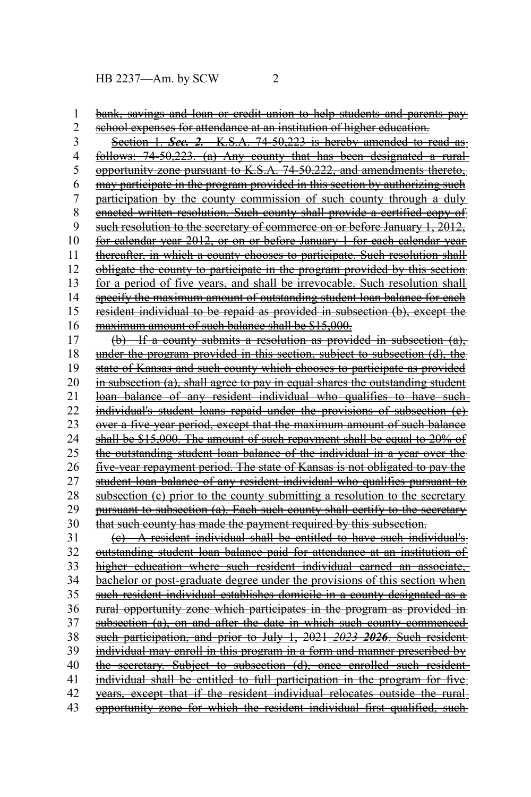HB 2237—Am. by SCW 2

bank, savings and loan or credit union to help students and parents pay 1

school expenses for attendance at an institution of higher education. Section 1. *Sec. 2.* K.S.A. 74-50,223 is hereby amended to read as follows: 74-50,223. (a) Any county that has been designated a rural opportunity zone pursuant to K.S.A. 74-50,222, and amendments thereto, may participate in the program provided in this section by authorizing such participation by the county commission of such county through a duly enacted written resolution. Such county shall provide a certified copy of such resolution to the secretary of commerce on or before January 1, 2012, for calendar year 2012, or on or before January 1 for each calendar year thereafter, in which a county chooses to participate. Such resolution shall obligate the county to participate in the program provided by this section for a period of five years, and shall be irrevocable. Such resolution shall specify the maximum amount of outstanding student loan balance for each resident individual to be repaid as provided in subsection (b), except the maximum amount of such balance shall be \$15,000. (b) If a county submits a resolution as provided in subsection (a), under the program provided in this section, subject to subsection (d), the state of Kansas and such county which chooses to participate as provided in subsection (a), shall agree to pay in equal shares the outstanding student loan balance of any resident individual who qualifies to have such individual's student loans repaid under the provisions of subsection (c) over a five-year period, except that the maximum amount of such balance shall be \$15,000. The amount of such repayment shall be equal to 20% of the outstanding student loan balance of the individual in a year over the five-year repayment period. The state of Kansas is not obligated to pay the student loan balance of any resident individual who qualifies pursuant to subsection (c) prior to the county submitting a resolution to the secretary pursuant to subsection (a). Each such county shall certify to the secretary that such county has made the payment required by this subsection. (c) A resident individual shall be entitled to have such individual's outstanding student loan balance paid for attendance at an institution of higher education where such resident individual earned an associate, bachelor or post-graduate degree under the provisions of this section when such resident individual establishes domicile in a county designated as a rural opportunity zone which participates in the program as provided in subsection (a), on and after the date in which such county commenced such participation, and prior to July 1, 2021 *2023 2026* . Such resident individual may enroll in this program in a form and manner prescribed by the secretary. Subject to subsection (d), once enrolled such resident individual shall be entitled to full participation in the program for five years, except that if the resident individual relocates outside the rural opportunity zone for which the resident individual first qualified, such 2 3 4 5 6 7 8 9 10 11 12 13 14 15 16 17 18 19 20 21 22 23 24 25 26 27 28 29 30 31 32 33 34 35 36 37 38 39 40 41 42 43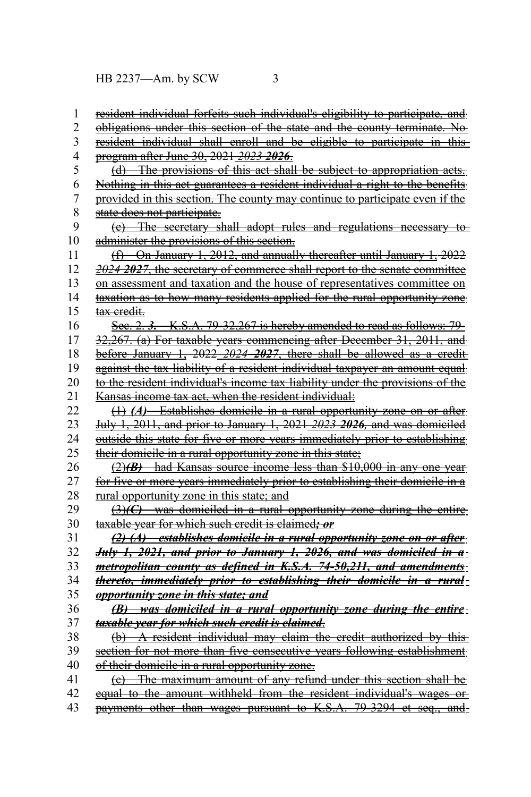HB 2237—Am. by SCW 3

| 1              | resident individual forfeits such individual's eligibility to participate, and         |
|----------------|----------------------------------------------------------------------------------------|
| $\overline{c}$ | <u>obligations under this section of the state and the county terminate. No</u>        |
| 3              | resident individual shall enroll and be eligible to participate in this-               |
| 4              | program after June 30, 2021 2023 2026.                                                 |
| 5              | (d) The provisions of this act shall be subject to appropriation acts.                 |
| 6              | Nothing in this act guarantees a resident individual a right to the benefits           |
| 7              | provided in this section. The county may continue to participate even if the           |
| 8              | state does not participate.                                                            |
| 9              | (e) The secretary shall adopt rules and regulations necessary to                       |
| 10             | administer the provisions of this section.                                             |
| 11             | (f) On January 1, 2012, and annually thereafter until January 1, 2022                  |
| 12             | 2024 2027, the secretary of commerce shall report to the senate committee              |
| 13             | on assessment and taxation and the house of representatives committee on               |
| 14             | taxation as to how many residents applied for the rural opportunity zone               |
| 15             | <del>tax credit.</del>                                                                 |
| 16             | See. 2. 3. K.S.A. 79-32,267 is hereby amended to read as follows: 79-                  |
| 17             | 32,267. (a) For taxable years commencing after December 31, 2011, and                  |
| 18             | before January 1, $2022$ $2024$ $2027$ , there shall be allowed as a credit-           |
| 19             | against the tax liability of a resident individual taxpayer an amount equal            |
| 20             | to the resident individual's income tax liability under the provisions of the          |
| 21             | Kansas income tax act, when the resident individual:                                   |
| 22             | (1) (A) Establishes domicile in a rural opportunity zone on or after-                  |
| 23             | July 1, 2011, and prior to January 1, 2021 2023 2026, and was domiciled                |
| 24             | <u>outside this state for five or more years immediately prior to establishing</u>     |
| 25             | their domicile in a rural opportunity zone in this state;                              |
| 26             | $(2)(B)$ had Kansas source income less than \$10,000 in any one year                   |
| 27             | for five or more years immediately prior to establishing their domicile in a           |
| 28             | rural opportunity zone in this state; and                                              |
| 29             | $\left(\frac{3}{C}\right)$ was domiciled in a rural opportunity zone during the entire |
| 30             | taxable year for which such credit is claimed; or                                      |
| 31             | (2) (A) establishes domicile in a rural opportunity zone on or after                   |
| 32             | July 1, 2021, and prior to January 1, 2026, and was domiciled in a-                    |
| 33             | metropolitan county as defined in K.S.A. 74-50,211, and amendments:                    |
| 34             | thereto, immediately prior to establishing their domicile in a rural-                  |
| 35             | opportunity zone in this state; and                                                    |
| 36             | (B) was domiciled in a rural opportunity zone during the entire-                       |
| 37             | taxable year for which such credit is claimed.                                         |
| 38             | (b) A resident individual may claim the credit authorized by this                      |
| 39             | section for not more than five consecutive years following establishment               |
| 40             | <u>of their domicile in a rural opportunity zone.</u>                                  |
| 41             | The maximum amount of any refund under this section shall be<br>$\left( e\right) -$    |
| 42             | equal to the amount withheld from the resident individual's wages or                   |
| 43             | payments other than wages pursuant to K.S.A. 79-3294 et seq., and-                     |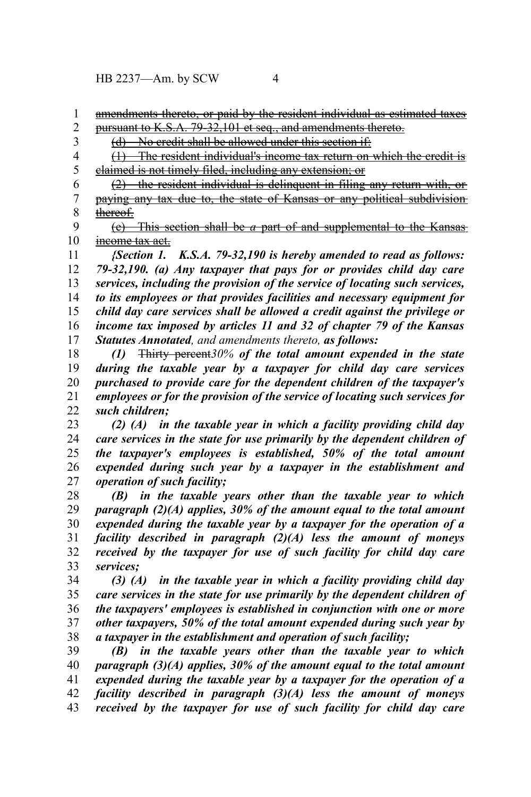HB 2237—Am. by SCW 4

amendments thereto, or paid by the resident individual as estimated taxes pursuant to K.S.A. 79-32,101 et seq., and amendments thereto. 1 2

(d) No credit shall be allowed under this section if: 3

(1) The resident individual's income tax return on which the credit is claimed is not timely filed, including any extension; or 4 5

(2) the resident individual is delinquent in filing any return with, or paying any tax due to, the state of Kansas or any political subdivision thereof. 6 7 8

 (e) This section shall be *a* part of and supplemental to the Kansas income tax act. 9 10

*{Section 1. K.S.A. 79-32,190 is hereby amended to read as follows: 79-32,190. (a) Any taxpayer that pays for or provides child day care services, including the provision of the service of locating such services, to its employees or that provides facilities and necessary equipment for child day care services shall be allowed a credit against the privilege or income tax imposed by articles 11 and 32 of chapter 79 of the Kansas Statutes Annotated, and amendments thereto, as follows:* 11 12 13 14 15 16 17

*(1)* Thirty percent*30% of the total amount expended in the state during the taxable year by a taxpayer for child day care services purchased to provide care for the dependent children of the taxpayer's employees or for the provision of the service of locating such services for such children;* 18 19 20 21 22

*(2) (A) in the taxable year in which a facility providing child day care services in the state for use primarily by the dependent children of the taxpayer's employees is established, 50% of the total amount expended during such year by a taxpayer in the establishment and operation of such facility;* 23 24 25 26 27

*(B) in the taxable years other than the taxable year to which paragraph (2)(A) applies, 30% of the amount equal to the total amount expended during the taxable year by a taxpayer for the operation of a facility described in paragraph (2)(A) less the amount of moneys received by the taxpayer for use of such facility for child day care services;* 28 29 30 31 32 33

*(3) (A) in the taxable year in which a facility providing child day care services in the state for use primarily by the dependent children of the taxpayers' employees is established in conjunction with one or more other taxpayers, 50% of the total amount expended during such year by a taxpayer in the establishment and operation of such facility;* 34 35 36 37 38

*(B) in the taxable years other than the taxable year to which paragraph (3)(A) applies, 30% of the amount equal to the total amount expended during the taxable year by a taxpayer for the operation of a facility described in paragraph (3)(A) less the amount of moneys received by the taxpayer for use of such facility for child day care* 39 40 41 42 43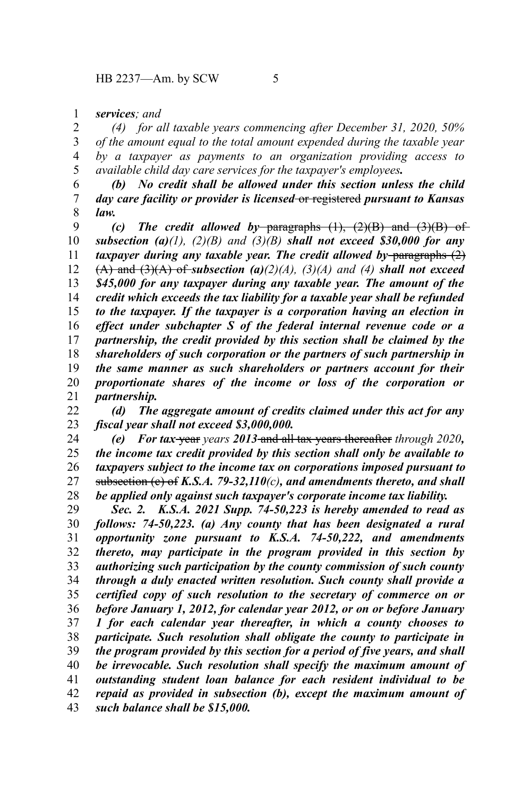*services; and* 1

*(4) for all taxable years commencing after December 31, 2020, 50% of the amount equal to the total amount expended during the taxable year by a taxpayer as payments to an organization providing access to available child day care services for the taxpayer's employees.* 2 3 4 5

*(b) No credit shall be allowed under this section unless the child day care facility or provider is licensed* or registered *pursuant to Kansas law.* 6 7 8

*(c) The credit allowed by* paragraphs (1), (2)(B) and (3)(B) of *subsection (a)(1), (2)(B) and (3)(B) shall not exceed \$30,000 for any taxpayer during any taxable year. The credit allowed by paragraphs (2)*  $(A)$  and  $(3)(A)$  of *subsection*  $(a)(2)(A)$ ,  $(3)(A)$  and  $(4)$  *shall not exceed \$45,000 for any taxpayer during any taxable year. The amount of the credit which exceeds the tax liability for a taxable year shall be refunded to the taxpayer. If the taxpayer is a corporation having an election in effect under subchapter S of the federal internal revenue code or a partnership, the credit provided by this section shall be claimed by the shareholders of such corporation or the partners of such partnership in the same manner as such shareholders or partners account for their proportionate shares of the income or loss of the corporation or partnership.* 9 10 11 12 13 14 15 16 17 18 19 20 21

*(d) The aggregate amount of credits claimed under this act for any fiscal year shall not exceed \$3,000,000.* 22 23

*(e) For tax* year *years 2013* and all tax years thereafter *through 2020, the income tax credit provided by this section shall only be available to taxpayers subject to the income tax on corporations imposed pursuant to* subsection (c) of *K.S.A. 79-32,110(c), and amendments thereto, and shall be applied only against such taxpayer's corporate income tax liability.* 24 25 26 27 28

*Sec. 2. K.S.A. 2021 Supp. 74-50,223 is hereby amended to read as follows: 74-50,223. (a) Any county that has been designated a rural opportunity zone pursuant to K.S.A. 74-50,222, and amendments thereto, may participate in the program provided in this section by authorizing such participation by the county commission of such county through a duly enacted written resolution. Such county shall provide a certified copy of such resolution to the secretary of commerce on or before January 1, 2012, for calendar year 2012, or on or before January 1 for each calendar year thereafter, in which a county chooses to participate. Such resolution shall obligate the county to participate in the program provided by this section for a period of five years, and shall be irrevocable. Such resolution shall specify the maximum amount of outstanding student loan balance for each resident individual to be repaid as provided in subsection (b), except the maximum amount of such balance shall be \$15,000.* 29 30 31 32 33 34 35 36 37 38 39 40 41 42 43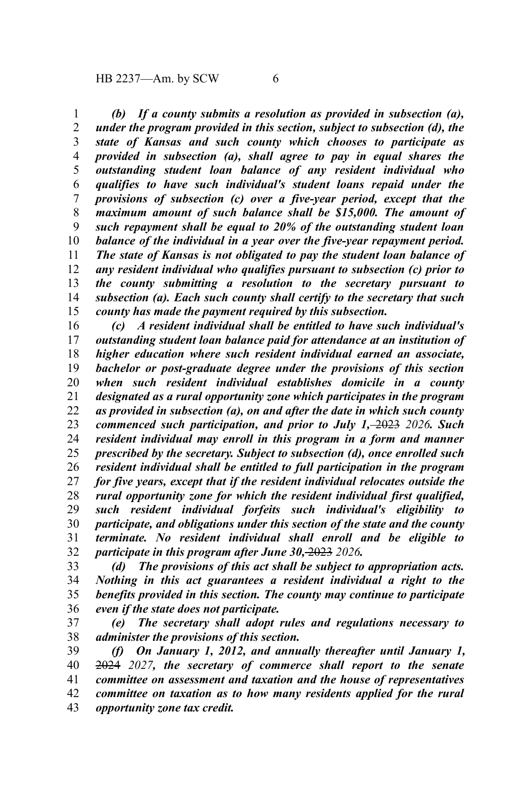*(b) If a county submits a resolution as provided in subsection (a), under the program provided in this section, subject to subsection (d), the state of Kansas and such county which chooses to participate as provided in subsection (a), shall agree to pay in equal shares the outstanding student loan balance of any resident individual who qualifies to have such individual's student loans repaid under the provisions of subsection (c) over a five-year period, except that the maximum amount of such balance shall be \$15,000. The amount of such repayment shall be equal to 20% of the outstanding student loan balance of the individual in a year over the five-year repayment period. The state of Kansas is not obligated to pay the student loan balance of any resident individual who qualifies pursuant to subsection (c) prior to the county submitting a resolution to the secretary pursuant to subsection (a). Each such county shall certify to the secretary that such county has made the payment required by this subsection.* 1 2 3 4 5 6 7 8 9 10 11 12 13 14 15

*(c) A resident individual shall be entitled to have such individual's outstanding student loan balance paid for attendance at an institution of higher education where such resident individual earned an associate, bachelor or post-graduate degree under the provisions of this section when such resident individual establishes domicile in a county designated as a rural opportunity zone which participates in the program as provided in subsection (a), on and after the date in which such county commenced such participation, and prior to July 1,* 2023 *2026. Such resident individual may enroll in this program in a form and manner prescribed by the secretary. Subject to subsection (d), once enrolled such resident individual shall be entitled to full participation in the program for five years, except that if the resident individual relocates outside the rural opportunity zone for which the resident individual first qualified, such resident individual forfeits such individual's eligibility to participate, and obligations under this section of the state and the county terminate. No resident individual shall enroll and be eligible to participate in this program after June 30,* 2023 *2026.* 16 17 18 19 20 21 22 23 24 25 26 27 28 29 30 31 32

*(d) The provisions of this act shall be subject to appropriation acts. Nothing in this act guarantees a resident individual a right to the benefits provided in this section. The county may continue to participate even if the state does not participate.* 33 34 35 36

*(e) The secretary shall adopt rules and regulations necessary to administer the provisions of this section.* 37 38

*(f) On January 1, 2012, and annually thereafter until January 1,* 2024 *2027, the secretary of commerce shall report to the senate committee on assessment and taxation and the house of representatives committee on taxation as to how many residents applied for the rural opportunity zone tax credit.* 39 40 41 42 43